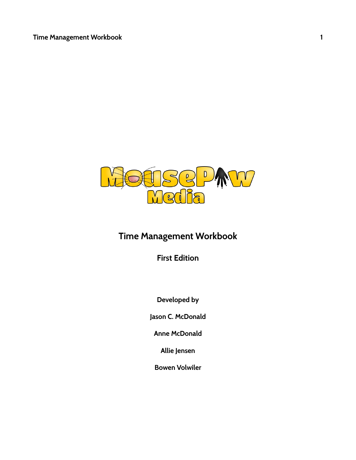

# **Time Management Workbook**

**First Edition**

**Developed by**

**Jason C. McDonald**

**Anne McDonald**

**Allie Jensen**

**Bowen Volwiler**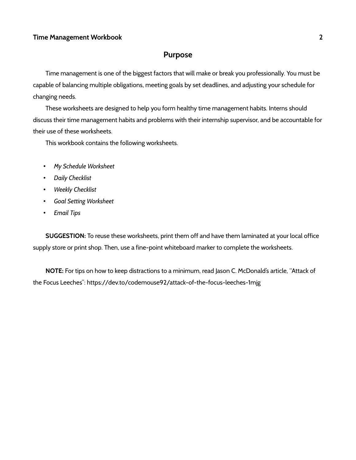## **Purpose**

Time management is one of the biggest factors that will make or break you professionally. You must be capable of balancing multiple obligations, meeting goals by set deadlines, and adjusting your schedule for changing needs.

These worksheets are designed to help you form healthy time management habits. Interns should discuss their time management habits and problems with their internship supervisor, and be accountable for their use of these worksheets.

This workbook contains the following worksheets.

- *My Schedule Worksheet*
- *Daily Checklist*
- *Weekly Checklist*
- *Goal Setting Worksheet*
- *Email Tips*

**SUGGESTION:** To reuse these worksheets, print them off and have them laminated at your local office supply store or print shop. Then, use a fine-point whiteboard marker to complete the worksheets.

**NOTE:** For tips on how to keep distractions to a minimum, read Jason C. McDonald's article, "Attack of the Focus Leeches": https://dev.to/codemouse92/attack-of-the-focus-leeches-1mjg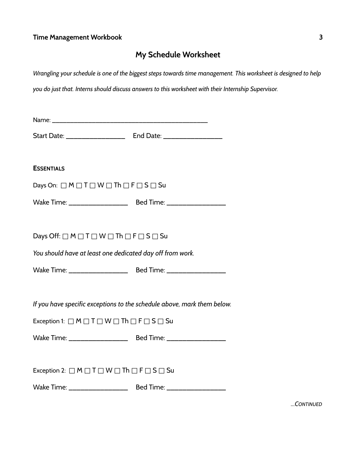# **My Schedule Worksheet**

| Wrangling your schedule is one of the biggest steps towards time management. This worksheet is designed to help |                                                                         |  |  |
|-----------------------------------------------------------------------------------------------------------------|-------------------------------------------------------------------------|--|--|
| you do just that. Interns should discuss answers to this worksheet with their Internship Supervisor.            |                                                                         |  |  |
|                                                                                                                 |                                                                         |  |  |
|                                                                                                                 |                                                                         |  |  |
|                                                                                                                 |                                                                         |  |  |
|                                                                                                                 |                                                                         |  |  |
| <b>ESSENTIALS</b>                                                                                               |                                                                         |  |  |
| Days On: $\Box M \Box T \Box W \Box Th \Box F \Box S \Box Su$                                                   |                                                                         |  |  |
|                                                                                                                 |                                                                         |  |  |
|                                                                                                                 |                                                                         |  |  |
| Days Off: $\Box M \Box T \Box W \Box Th \Box F \Box S \Box Su$                                                  |                                                                         |  |  |
| You should have at least one dedicated day off from work.                                                       |                                                                         |  |  |
|                                                                                                                 |                                                                         |  |  |
|                                                                                                                 |                                                                         |  |  |
|                                                                                                                 | If you have specific exceptions to the schedule above, mark them below. |  |  |
| Exception 1: $\Box$ M $\Box$ T $\Box$ W $\Box$ Th $\Box$ F $\Box$ S $\Box$ Su                                   |                                                                         |  |  |
|                                                                                                                 |                                                                         |  |  |
|                                                                                                                 |                                                                         |  |  |
| Exception 2: $\Box M \Box T \Box W \Box Th \Box F \Box S \Box Su$                                               |                                                                         |  |  |
|                                                                                                                 |                                                                         |  |  |
|                                                                                                                 |                                                                         |  |  |

*...CONTINUED*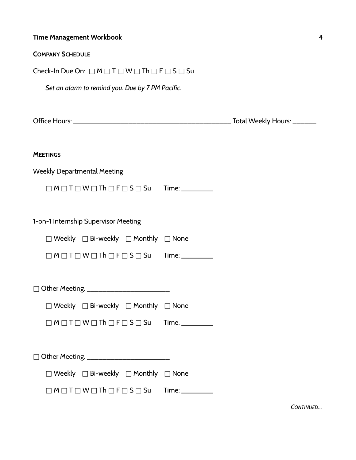| <b>Time Management Workbook</b>                                       |  | 4 |
|-----------------------------------------------------------------------|--|---|
| <b>COMPANY SCHEDULE</b>                                               |  |   |
| Check-In Due On: $\Box M \Box T \Box W \Box Th \Box F \Box S \Box Su$ |  |   |
| Set an alarm to remind you. Due by 7 PM Pacific.                      |  |   |
|                                                                       |  |   |
| <b>MEETINGS</b>                                                       |  |   |
| <b>Weekly Departmental Meeting</b>                                    |  |   |
| $\Box M \Box T \Box W \Box Th \Box F \Box S \Box Su$ Time:            |  |   |
| 1-on-1 Internship Supervisor Meeting                                  |  |   |
| $\Box$ Weekly $\Box$ Bi-weekly $\Box$ Monthly $\Box$ None             |  |   |
| $\Box M \Box T \Box W \Box Th \Box F \Box S \Box Su$ Time:            |  |   |
| □ Other Meeting: ______________________                               |  |   |
| $\Box$ Weekly $\Box$ Bi-weekly $\Box$ Monthly $\Box$ None             |  |   |
| $\Box M \Box T \Box W \Box Th \Box F \Box S \Box Su$ Time: ________   |  |   |
|                                                                       |  |   |
| $\Box$ Weekly $\Box$ Bi-weekly $\Box$ Monthly $\Box$ None             |  |   |
| $\Box M \Box T \Box W \Box Th \Box F \Box S \Box Su$ Time: ________   |  |   |

*CONTINUED...*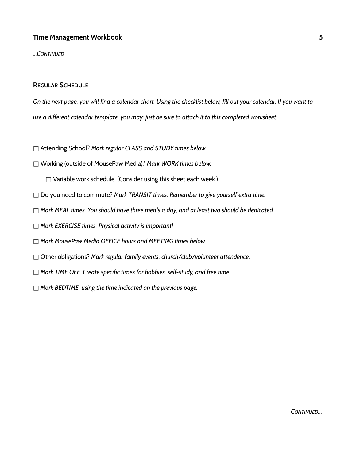*...CONTINUED*

#### **REGULAR SCHEDULE**

*On the next page, you will find a calendar chart. Using the checklist below, fill out your calendar. If you want to use a different calendar template, you may; just be sure to attach it to this completed worksheet.*

- □ Attending School? *Mark regular CLASS and STUDY times below.*
- □ Working (outside of MousePaw Media)? *Mark WORK times below.*

□ Variable work schedule. (Consider using this sheet each week.)

- □ Do you need to commute? *Mark TRANSIT times*. *Remember to give yourself extra time.*
- □ *Mark MEAL times. You should have three meals a day, and at least two should be dedicated.*
- □ *Mark EXERCISE times. Physical activity is important!*
- □ *Mark MousePaw Media OFFICE hours and MEETING times below.*
- □ Other obligations? *Mark regular family events, church/club/volunteer attendence.*
- □ *Mark TIME OFF*. *Create specific times for hobbies, self-study, and free time.*
- □ *Mark BEDTIME, using the time indicated on the previous page.*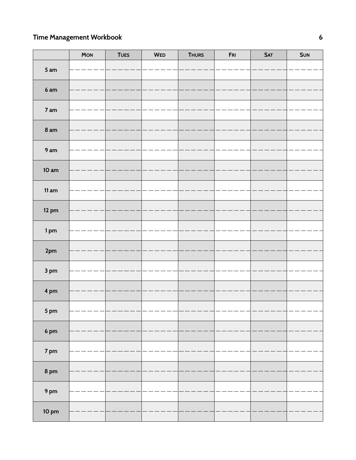|                 | MON | <b>TUES</b> | WED | <b>THURS</b> | ${\sf FRI}$ | SAT | <b>SUN</b> |
|-----------------|-----|-------------|-----|--------------|-------------|-----|------------|
| 5 am            |     |             |     |              |             |     |            |
| 6am             |     |             |     |              |             |     |            |
| 7 am            |     |             |     |              |             |     |            |
| 8 <sub>am</sub> |     |             |     |              |             |     |            |
|                 |     |             |     |              |             |     |            |
| 9 am            |     |             |     |              |             |     |            |
| 10 am           |     |             |     |              |             |     |            |
|                 |     |             |     |              |             |     |            |
| 11 am           |     |             |     |              |             |     |            |
| $12 \text{ pm}$ |     |             |     |              |             |     |            |
|                 |     |             |     |              |             |     |            |
| 1pm             |     |             |     |              |             |     |            |
| $2\mathrm{pm}$  |     |             |     |              |             |     |            |
| 3 pm            |     |             |     |              |             |     |            |
| 4 pm            |     |             |     |              |             |     |            |
|                 |     |             |     |              |             |     |            |
| 5 pm            |     |             |     |              |             |     |            |
| 6 <sub>pm</sub> |     |             |     |              |             |     |            |
|                 |     |             |     |              |             |     |            |
| 7 pm            |     |             |     |              |             |     |            |
| $8 \text{ pm}$  |     |             |     |              |             |     |            |
|                 |     |             |     |              |             |     |            |
| 9 <sub>pm</sub> |     |             |     |              |             |     |            |
| $10 \text{ pm}$ |     |             |     |              |             |     |            |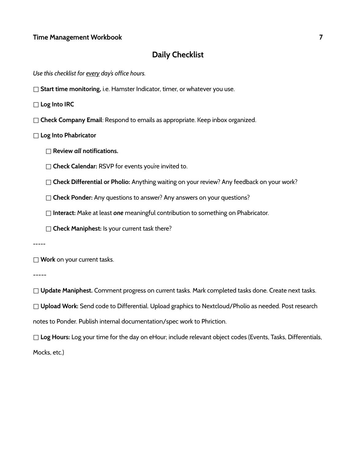## **Daily Checklist**

*Use this checklist for every day's office hours.*

□ **Start time monitoring**, i.e. Hamster Indicator, timer, or whatever you use.

□ **Log Into IRC**

- □ **Check Company Email**: Respond to emails as appropriate. Keep inbox organized.
- □ **Log Into Phabricator**
	- □ **Review** *all* **notifications.**
	- □ **Check Calendar:** RSVP for events you're invited to.
	- □ **Check Differential or Pholio:** Anything waiting on your review? Any feedback on your work?
	- □ **Check Ponder:** Any questions to answer? Any answers on your questions?
	- □ **Interact:** Make at least *one* meaningful contribution to something on Phabricator.
	- □ **Check Maniphest:** Is your current task there?

*-----*

□ **Work** on your current tasks.

-----

□ **Update Maniphest.** Comment progress on current tasks. Mark completed tasks done. Create next tasks.

□ **Upload Work:** Send code to Differential. Upload graphics to Nextcloud/Pholio as needed. Post research

notes to Ponder. Publish internal documentation/spec work to Phriction.

□ **Log Hours:** Log your time for the day on eHour; include relevant object codes (Events, Tasks, Differentials, Mocks, etc.)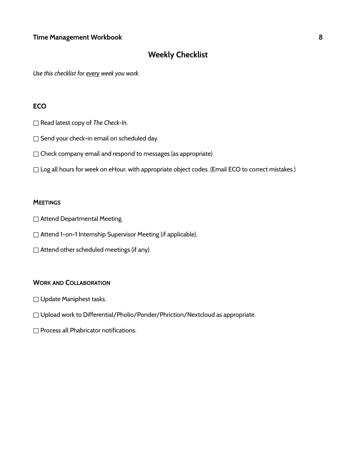## **Weekly Checklist**

*Use this checklist for every week you work.*

#### **ECO**

- □ Read latest copy of *The Check-In.*
- □ Send your check-in email on scheduled day.
- □ Check company email and respond to messages (as appropriate).
- □ Log all hours for week on eHour, with appropriate object codes. (Email ECO to correct mistakes.)

#### **MEETINGS**

- □ Attend Departmental Meeting.
- □ Attend 1-on-1 Internship Supervisor Meeting (if applicable).
- $\square$  Attend other scheduled meetings (if any).

#### **WORK AND COLLABORATION**

- □ Update Maniphest tasks.
- $\Box$  Upload work to Differential/Pholio/Ponder/Phriction/Nextcloud as appropriate.
- □ Process all Phabricator notifications.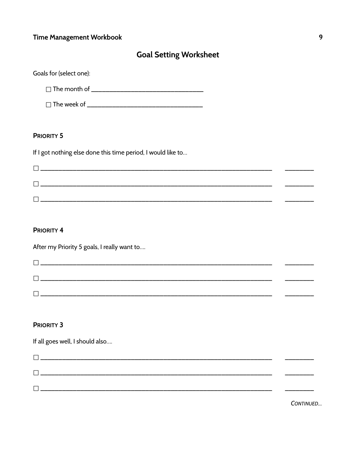## **Goal Setting Worksheet**

| Goals for (select one): |  |
|-------------------------|--|
| $\Box$ The month of     |  |
| $\Box$ The week of      |  |

#### **PRIORITY 5**

If I got nothing else done this time period, I would like to...

|                                                                                                                                                                                                                               | ____ |
|-------------------------------------------------------------------------------------------------------------------------------------------------------------------------------------------------------------------------------|------|
| and a construction of the construction of the construction of the construction of the construction of the construction of the construction of the construction of the construction of the construction of the construction of |      |
|                                                                                                                                                                                                                               |      |

#### **PRIORITY 4**

After my Priority 5 goals, I really want to....

|   | <u> 1980 - Jan Sarajević, politički politički predstava i politički predstava i politički predstava i politički p</u> |  |
|---|-----------------------------------------------------------------------------------------------------------------------|--|
|   |                                                                                                                       |  |
| – |                                                                                                                       |  |

#### **PRIORITY 3**

If all goes well, I should also....

 $\overline{a}$ 

CONTINUED...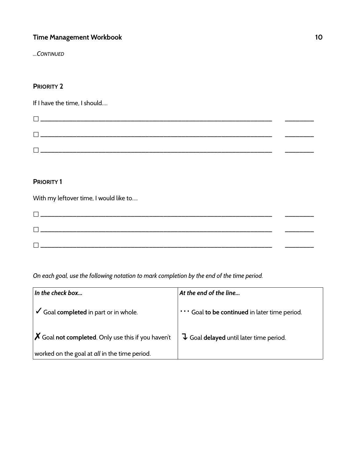*...CONTINUED*

#### **PRIORITY 2**

If I have the time, I should….

#### **PRIORITY 1**

With my leftover time, I would like to…. □ \_\_\_\_\_\_\_\_\_\_\_\_\_\_\_\_\_\_\_\_\_\_\_\_\_\_\_\_\_\_\_\_\_\_\_\_\_\_\_\_\_\_\_\_\_\_\_\_\_\_\_\_\_\_\_\_\_\_\_\_\_\_\_\_ \_\_\_\_\_\_\_\_ □ \_\_\_\_\_\_\_\_\_\_\_\_\_\_\_\_\_\_\_\_\_\_\_\_\_\_\_\_\_\_\_\_\_\_\_\_\_\_\_\_\_\_\_\_\_\_\_\_\_\_\_\_\_\_\_\_\_\_\_\_\_\_\_\_ \_\_\_\_\_\_\_\_ □ \_\_\_\_\_\_\_\_\_\_\_\_\_\_\_\_\_\_\_\_\_\_\_\_\_\_\_\_\_\_\_\_\_\_\_\_\_\_\_\_\_\_\_\_\_\_\_\_\_\_\_\_\_\_\_\_\_\_\_\_\_\_\_\_ \_\_\_\_\_\_\_\_

*On each goal, use the following notation to mark completion by the end of the time period.*

| In the check box                                                  | At the end of the line                                        |
|-------------------------------------------------------------------|---------------------------------------------------------------|
| Goal completed in part or in whole.                               | "" Goal to be continued in later time period.                 |
| $\boldsymbol{X}$ Goal not completed. Only use this if you haven't | $\overline{\downarrow}$ Goal delayed until later time period. |
| worked on the goal at all in the time period.                     |                                                               |